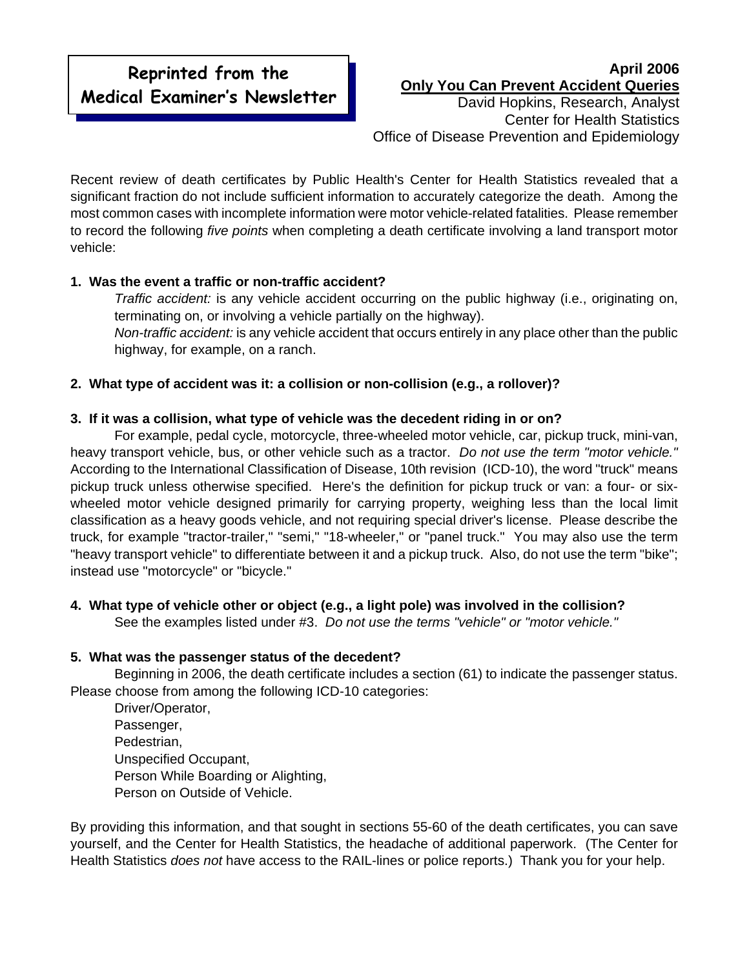# **Reprinted from the Medical Examiner's Newsletter**

### **April 2006 Only You Can Prevent Accident Queries**

David Hopkins, Research, Analyst Center for Health Statistics Office of Disease Prevention and Epidemiology

Recent review of death certificates by Public Health's Center for Health Statistics revealed that a significant fraction do not include sufficient information to accurately categorize the death. Among the most common cases with incomplete information were motor vehicle-related fatalities. Please remember to record the following *five points* when completing a death certificate involving a land transport motor vehicle:

## **1. Was the event a traffic or non-traffic accident?**

*Traffic accident:* is any vehicle accident occurring on the public highway (i.e., originating on, terminating on, or involving a vehicle partially on the highway). *Non-traffic accident:* is any vehicle accident that occurs entirely in any place other than the public highway, for example, on a ranch.

## **2. What type of accident was it: a collision or non-collision (e.g., a rollover)?**

### **3. If it was a collision, what type of vehicle was the decedent riding in or on?**

For example, pedal cycle, motorcycle, three-wheeled motor vehicle, car, pickup truck, mini-van, heavy transport vehicle, bus, or other vehicle such as a tractor. *Do not use the term "motor vehicle."* According to the International Classification of Disease, 10th revision (ICD-10), the word "truck" means pickup truck unless otherwise specified. Here's the definition for pickup truck or van: a four- or sixwheeled motor vehicle designed primarily for carrying property, weighing less than the local limit classification as a heavy goods vehicle, and not requiring special driver's license. Please describe the truck, for example "tractor-trailer," "semi," "18-wheeler," or "panel truck." You may also use the term "heavy transport vehicle" to differentiate between it and a pickup truck. Also, do not use the term "bike"; instead use "motorcycle" or "bicycle."

# **4. What type of vehicle other or object (e.g., a light pole) was involved in the collision?**

See the examples listed under #3. *Do not use the terms "vehicle" or "motor vehicle."* 

### **5. What was the passenger status of the decedent?**

Beginning in 2006, the death certificate includes a section (61) to indicate the passenger status. Please choose from among the following ICD-10 categories:

Driver/Operator, Passenger, Pedestrian, Unspecified Occupant, Person While Boarding or Alighting, Person on Outside of Vehicle.

By providing this information, and that sought in sections 55-60 of the death certificates, you can save yourself, and the Center for Health Statistics, the headache of additional paperwork. (The Center for Health Statistics *does not* have access to the RAIL-lines or police reports.) Thank you for your help.